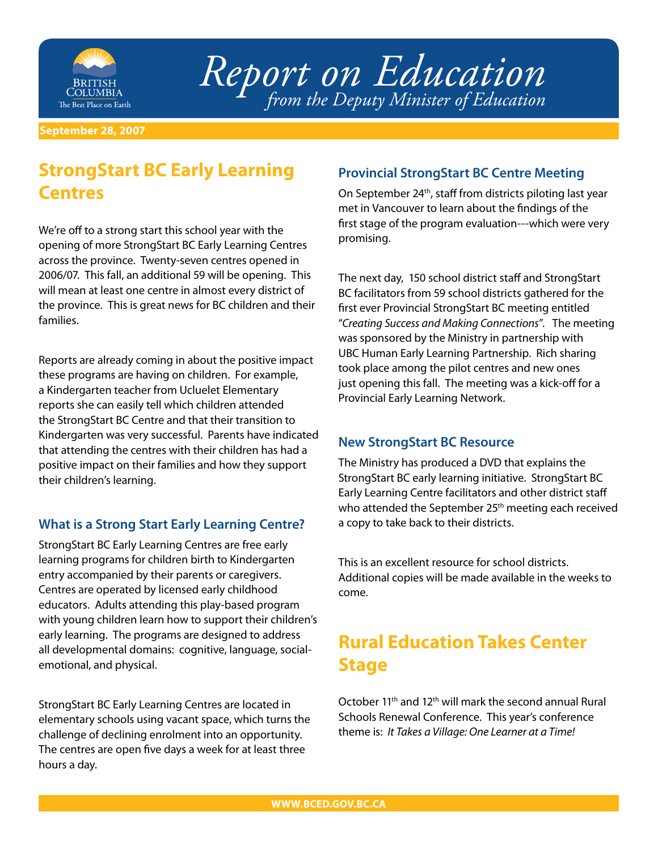

*Report on Education from the Deputy Minister of Education*

**September 28, 2007**

# **StrongStart BC Early Learning Centres**

We're off to a strong start this school year with the opening of more StrongStart BC Early Learning Centres across the province. Twenty-seven centres opened in 2006/07. This fall, an additional 59 will be opening. This will mean at least one centre in almost every district of the province. This is great news for BC children and their families.

Reports are already coming in about the positive impact these programs are having on children. For example, a Kindergarten teacher from Ucluelet Elementary reports she can easily tell which children attended the StrongStart BC Centre and that their transition to Kindergarten was very successful. Parents have indicated that attending the centres with their children has had a positive impact on their families and how they support their children's learning.

### **What is a Strong Start Early Learning Centre?**

StrongStart BC Early Learning Centres are free early learning programs for children birth to Kindergarten entry accompanied by their parents or caregivers. Centres are operated by licensed early childhood educators. Adults attending this play-based program with young children learn how to support their children's early learning. The programs are designed to address all developmental domains: cognitive, language, socialemotional, and physical.

StrongStart BC Early Learning Centres are located in elementary schools using vacant space, which turns the challenge of declining enrolment into an opportunity. The centres are open five days a week for at least three hours a day.

### **Provincial StrongStart BC Centre Meeting**

On September 24<sup>th</sup>, staff from districts piloting last year met in Vancouver to learn about the findings of the first stage of the program evaluation---which were very promising.

The next day, 150 school district staff and StrongStart BC facilitators from 59 school districts gathered for the first ever Provincial StrongStart BC meeting entitled "*Creating Success and Making Connections*". The meeting was sponsored by the Ministry in partnership with UBC Human Early Learning Partnership. Rich sharing took place among the pilot centres and new ones just opening this fall. The meeting was a kick-off for a Provincial Early Learning Network.

#### **New StrongStart BC Resource**

The Ministry has produced a DVD that explains the StrongStart BC early learning initiative. StrongStart BC Early Learning Centre facilitators and other district staff who attended the September 25<sup>th</sup> meeting each received a copy to take back to their districts.

This is an excellent resource for school districts. Additional copies will be made available in the weeks to come.

# **Rural Education Takes Center Stage**

October 11th and 12th will mark the second annual Rural Schools Renewal Conference. This year's conference theme is: *It Takes a Village: One Learner at a Time!*